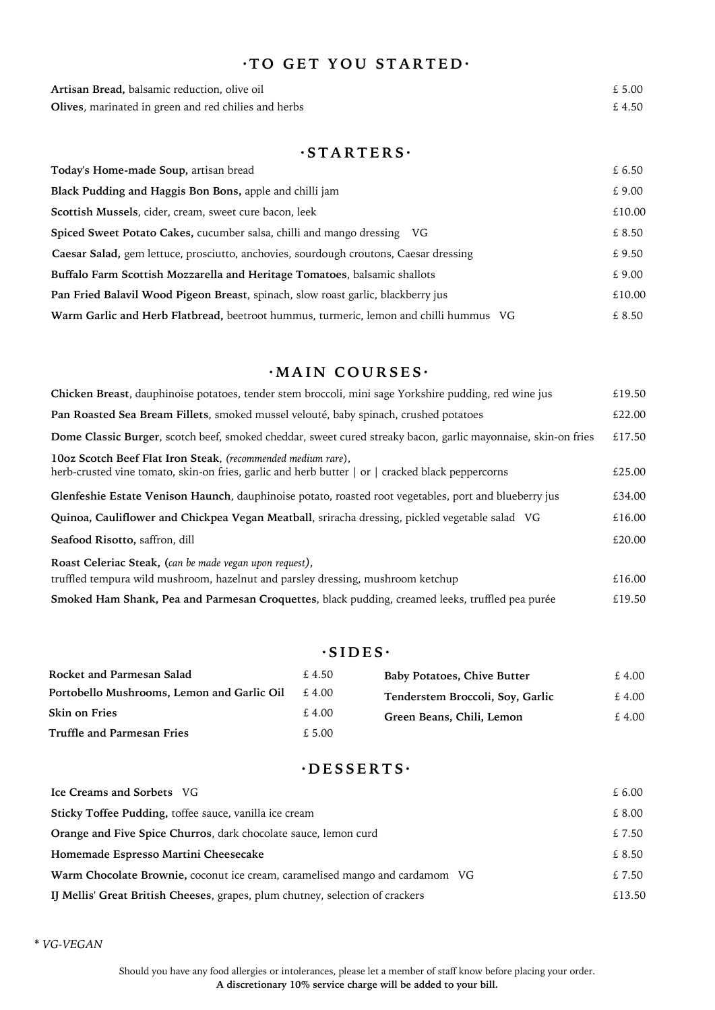# **· T O G E T Y O U S T A R T E D ·**

| Artisan Bread, balsamic reduction, olive oil                 | £ 5.00 |
|--------------------------------------------------------------|--------|
| <b>Olives</b> , marinated in green and red chilies and herbs | £4.50  |

## **· S T A R T E R S ·**

| Today's Home-made Soup, artisan bread                                                 | £ 6.50 |
|---------------------------------------------------------------------------------------|--------|
| Black Pudding and Haggis Bon Bons, apple and chilli jam                               | £ 9.00 |
| Scottish Mussels, cider, cream, sweet cure bacon, leek                                | £10.00 |
| <b>Spiced Sweet Potato Cakes, cucumber salsa, chilli and mango dressing VG</b>        | £ 8.50 |
| Caesar Salad, gem lettuce, prosciutto, anchovies, sourdough croutons, Caesar dressing | £ 9.50 |
| Buffalo Farm Scottish Mozzarella and Heritage Tomatoes, balsamic shallots             | £ 9.00 |
| Pan Fried Balavil Wood Pigeon Breast, spinach, slow roast garlic, blackberry jus      | £10.00 |
| Warm Garlic and Herb Flatbread, beetroot hummus, turmeric, lemon and chilli hummus VG | £ 8.50 |

#### $\cdot$ **MAIN COURSES**

| Chicken Breast, dauphinoise potatoes, tender stem broccoli, mini sage Yorkshire pudding, red wine jus                                                                        | £19.50 |  |  |  |
|------------------------------------------------------------------------------------------------------------------------------------------------------------------------------|--------|--|--|--|
| Pan Roasted Sea Bream Fillets, smoked mussel velouté, baby spinach, crushed potatoes                                                                                         |        |  |  |  |
| Dome Classic Burger, scotch beef, smoked cheddar, sweet cured streaky bacon, garlic mayonnaise, skin-on fries                                                                | £17.50 |  |  |  |
| 10oz Scotch Beef Flat Iron Steak, (recommended medium rare),<br>herb-crusted vine tomato, skin-on fries, garlic and herb butter $\vert$ or $\vert$ cracked black peppercorns | £25.00 |  |  |  |
| Glenfeshie Estate Venison Haunch, dauphinoise potato, roasted root vegetables, port and blueberry jus                                                                        | £34.00 |  |  |  |
| Quinoa, Cauliflower and Chickpea Vegan Meatball, sriracha dressing, pickled vegetable salad VG                                                                               | £16.00 |  |  |  |
| Seafood Risotto, saffron, dill                                                                                                                                               | £20.00 |  |  |  |
| Roast Celeriac Steak, (can be made vegan upon request),                                                                                                                      |        |  |  |  |
| truffled tempura wild mushroom, hazelnut and parsley dressing, mushroom ketchup                                                                                              | £16.00 |  |  |  |
| Smoked Ham Shank, Pea and Parmesan Croquettes, black pudding, creamed leeks, truffled pea purée                                                                              | £19.50 |  |  |  |

# $\cdot$ **SIDES** $\cdot$

| Rocket and Parmesan Salad                  | £ 4.50 | <b>Baby Potatoes, Chive Butter</b> | £4.00 |
|--------------------------------------------|--------|------------------------------------|-------|
| Portobello Mushrooms, Lemon and Garlic Oil | £ 4.00 | Tenderstem Broccoli, Soy, Garlic   | £4.00 |
| <b>Skin on Fries</b>                       | £ 4.00 | Green Beans, Chili, Lemon          | £4.00 |
| Truffle and Parmesan Fries                 | £5.00  |                                    |       |

# **· D E S S E R T S ·**

| Ice Creams and Sorbets VG                                                     | £6.00  |
|-------------------------------------------------------------------------------|--------|
| Sticky Toffee Pudding, toffee sauce, vanilla ice cream                        | £ 8.00 |
| <b>Orange and Five Spice Churros, dark chocolate sauce, lemon curd</b>        | £ 7.50 |
| Homemade Espresso Martini Cheesecake                                          | £ 8.50 |
| Warm Chocolate Brownie, coconut ice cream, caramelised mango and cardamom VG  | £ 7.50 |
| IJ Mellis' Great British Cheeses, grapes, plum chutney, selection of crackers | £13.50 |

**\*** *VG-VEGAN*